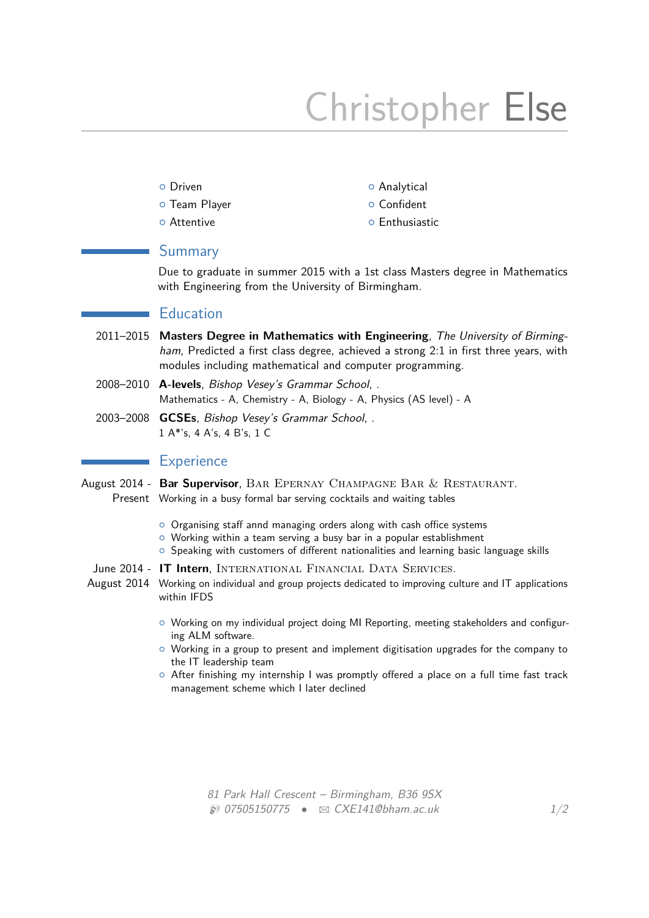# Christopher Else

- 
- **o** Team Player **by Confident**
- 
- **O** Driven **Britain Contract Contract Contract O** Analytical
	-
- **O** Attentive **Attentive Enthusiastic**

## Summary

Due to graduate in summer 2015 with a 1st class Masters degree in Mathematics with Engineering from the University of Birmingham.

# **Education**

- 2011–2015 **Masters Degree in Mathematics with Engineering**, The University of Birmingham, Predicted a first class degree, achieved a strong 2:1 in first three years, with modules including mathematical and computer programming.
- 2008–2010 **A-levels**, Bishop Vesey's Grammar School, . Mathematics - A, Chemistry - A, Biology - A, Physics (AS level) - A
- 2003–2008 **GCSEs**, Bishop Vesey's Grammar School, . 1 A\*'s, 4 A's, 4 B's, 1 C

### **Experience**

- August 2014 Bar Supervisor, BAR EPERNAY CHAMPAGNE BAR & RESTAURANT. Present Working in a busy formal bar serving cocktails and waiting tables
	- { Organising staff annd managing orders along with cash office systems
	- $\circ$  Working within a team serving a busy bar in a popular establishment
	- $\circ$  Speaking with customers of different nationalities and learning basic language skills
	- June 2014 **IT Intern**, INTERNATIONAL FINANCIAL DATA SERVICES.
- August 2014 Working on individual and group projects dedicated to improving culture and IT applications within IFDS
	- { Working on my individual project doing MI Reporting, meeting stakeholders and configuring ALM software.
	- $\circ$  Working in a group to present and implement digitisation upgrades for the company to the IT leadership team
	- $\circ$  After finishing my internship I was promptly offered a place on a full time fast track management scheme which I later declined

81 Park Hall Crescent – Birmingham, B36 9SX  $\circledast$  07505150775 •  $\infty$  [CXE141@bham.ac.uk](mailto:CXE141@bham.ac.uk) 1[/2](#page-1-0)